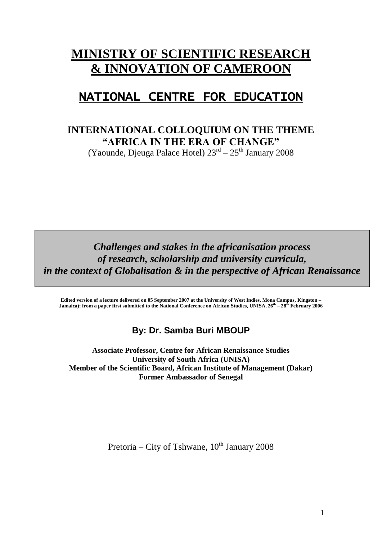# **MINISTRY OF SCIENTIFIC RESEARCH & INNOVATION OF CAMEROON**

# NATIONAL CENTRE FOR EDUCATION

# **INTERNATIONAL COLLOQUIUM ON THE THEME "AFRICA IN THE ERA OF CHANGE"**

(Yaounde, Djeuga Palace Hotel) 23<sup>rd</sup> – 25<sup>th</sup> January 2008

*Challenges and stakes in the africanisation process of research, scholarship and university curricula, in the context of Globalisation & in the perspective of African Renaissance*

**Edited version of a lecture delivered on 05 September 2007 at the University of West Indies, Mona Campus, Kingston – Jamaica); from a paper first submitted to the National Conference on African Studies, UNISA, 26th – 28th February 2006**

# **By: Dr. Samba Buri MBOUP**

**Associate Professor, Centre for African Renaissance Studies University of South Africa (UNISA) Member of the Scientific Board, African Institute of Management (Dakar) Former Ambassador of Senegal**

Pretoria – City of Tshwane,  $10^{th}$  January 2008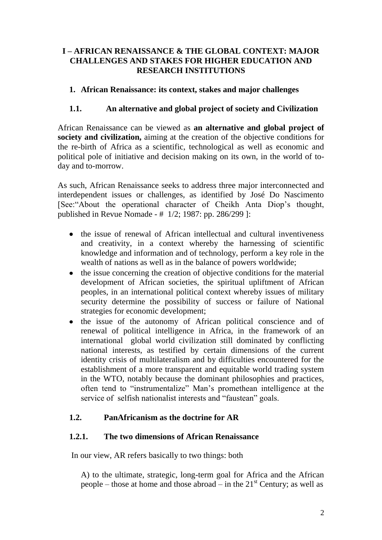## **I – AFRICAN RENAISSANCE & THE GLOBAL CONTEXT: MAJOR CHALLENGES AND STAKES FOR HIGHER EDUCATION AND RESEARCH INSTITUTIONS**

#### **1. African Renaissance: its context, stakes and major challenges**

#### **1.1. An alternative and global project of society and Civilization**

African Renaissance can be viewed as **an alternative and global project of society and civilization,** aiming at the creation of the objective conditions for the re-birth of Africa as a scientific, technological as well as economic and political pole of initiative and decision making on its own, in the world of today and to-morrow.

As such, African Renaissance seeks to address three major interconnected and interdependent issues or challenges, as identified by José Do Nascimento [See:"About the operational character of Cheikh Anta Diop's thought, published in Revue Nomade - # 1/2; 1987: pp. 286/299 ]:

- the issue of renewal of African intellectual and cultural inventiveness and creativity, in a context whereby the harnessing of scientific knowledge and information and of technology, perform a key role in the wealth of nations as well as in the balance of powers worldwide;
- $\bullet$ the issue concerning the creation of objective conditions for the material development of African societies, the spiritual upliftment of African peoples, in an international political context whereby issues of military security determine the possibility of success or failure of National strategies for economic development;
- the issue of the autonomy of African political conscience and of  $\bullet$ renewal of political intelligence in Africa, in the framework of an international global world civilization still dominated by conflicting national interests, as testified by certain dimensions of the current identity crisis of multilateralism and by difficulties encountered for the establishment of a more transparent and equitable world trading system in the WTO, notably because the dominant philosophies and practices, often tend to "instrumentalize" Man's promethean intelligence at the service of selfish nationalist interests and "faustean" goals.

#### **1.2. PanAfricanism as the doctrine for AR**

#### **1.2.1. The two dimensions of African Renaissance**

In our view, AR refers basically to two things: both

A) to the ultimate, strategic, long-term goal for Africa and the African people – those at home and those abroad – in the  $21<sup>st</sup>$  Century; as well as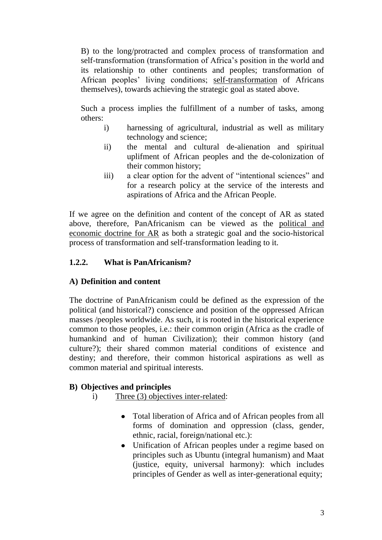B) to the long/protracted and complex process of transformation and self-transformation (transformation of Africa's position in the world and its relationship to other continents and peoples; transformation of African peoples' living conditions; self-transformation of Africans themselves), towards achieving the strategic goal as stated above.

Such a process implies the fulfillment of a number of tasks, among others:

- i) harnessing of agricultural, industrial as well as military technology and science;
- ii) the mental and cultural de-alienation and spiritual uplifment of African peoples and the de-colonization of their common history;
- iii) a clear option for the advent of "intentional sciences" and for a research policy at the service of the interests and aspirations of Africa and the African People.

If we agree on the definition and content of the concept of AR as stated above, therefore, PanAfricanism can be viewed as the political and economic doctrine for AR as both a strategic goal and the socio-historical process of transformation and self-transformation leading to it.

# **1.2.2. What is PanAfricanism?**

# **A) Definition and content**

The doctrine of PanAfricanism could be defined as the expression of the political (and historical?) conscience and position of the oppressed African masses /peoples worldwide. As such, it is rooted in the historical experience common to those peoples, i.e.: their common origin (Africa as the cradle of humankind and of human Civilization); their common history (and culture?); their shared common material conditions of existence and destiny; and therefore, their common historical aspirations as well as common material and spiritual interests.

# **B) Objectives and principles**

- i) Three (3) objectives inter-related:
	- Total liberation of Africa and of African peoples from all forms of domination and oppression (class, gender, ethnic, racial, foreign/national etc.):
	- Unification of African peoples under a regime based on principles such as Ubuntu (integral humanism) and Maat (justice, equity, universal harmony): which includes principles of Gender as well as inter-generational equity;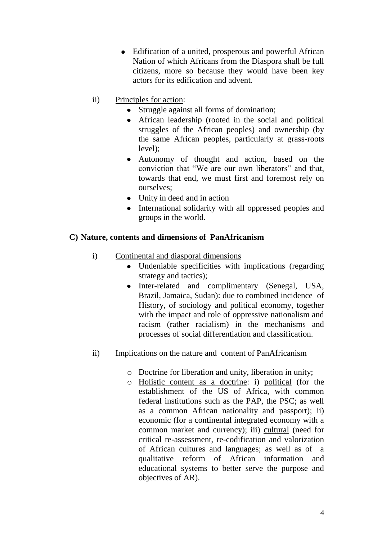- Edification of a united, prosperous and powerful African Nation of which Africans from the Diaspora shall be full citizens, more so because they would have been key actors for its edification and advent.
- ii) Principles for action:
	- Struggle against all forms of domination;
	- African leadership (rooted in the social and political struggles of the African peoples) and ownership (by the same African peoples, particularly at grass-roots level);
	- Autonomy of thought and action, based on the conviction that "We are our own liberators" and that, towards that end, we must first and foremost rely on ourselves;
	- Unity in deed and in action
	- International solidarity with all oppressed peoples and groups in the world.

# **C) Nature, contents and dimensions of PanAfricanism**

- i) Continental and diasporal dimensions
	- Undeniable specificities with implications (regarding strategy and tactics);
	- Inter-related and complimentary (Senegal, USA, Brazil, Jamaica, Sudan): due to combined incidence of History, of sociology and political economy, together with the impact and role of oppressive nationalism and racism (rather racialism) in the mechanisms and processes of social differentiation and classification.

# ii) Implications on the nature and content of PanAfricanism

- o Doctrine for liberation and unity, liberation in unity;
- o Holistic content as a doctrine: i) political (for the establishment of the US of Africa, with common federal institutions such as the PAP, the PSC; as well as a common African nationality and passport); ii) economic (for a continental integrated economy with a common market and currency); iii) cultural (need for critical re-assessment, re-codification and valorization of African cultures and languages; as well as of a qualitative reform of African information and educational systems to better serve the purpose and objectives of AR).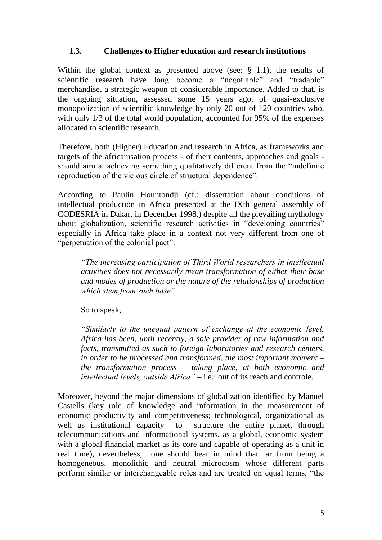#### **1.3. Challenges to Higher education and research institutions**

Within the global context as presented above (see:  $\S$  1.1), the results of scientific research have long become a "negotiable" and "tradable" merchandise, a strategic weapon of considerable importance. Added to that, is the ongoing situation, assessed some 15 years ago, of quasi-exclusive monopolization of scientific knowledge by only 20 out of 120 countries who, with only 1/3 of the total world population, accounted for 95% of the expenses allocated to scientific research.

Therefore, both (Higher) Education and research in Africa, as frameworks and targets of the africanisation process - of their contents, approaches and goals should aim at achieving something qualitatively different from the "indefinite reproduction of the vicious circle of structural dependence".

According to Paulin Hountondji (cf.: dissertation about conditions of intellectual production in Africa presented at the IXth general assembly of CODESRIA in Dakar, in December 1998,) despite all the prevailing mythology about globalization, scientific research activities in "developing countries" especially in Africa take place in a context not very different from one of "perpetuation of the colonial pact":

*"The increasing participation of Third World researchers in intellectual activities does not necessarily mean transformation of either their base and modes of production or the nature of the relationships of production which stem from such base".*

So to speak,

*"Similarly to the unequal pattern of exchange at the economic level, Africa has been, until recently, a sole provider of raw information and facts, transmitted as such to foreign laboratories and research centers, in order to be processed and transformed, the most important moment – the transformation process – taking place, at both economic and intellectual levels, outside Africa"* – i.e.: out of its reach and controle.

Moreover, beyond the major dimensions of globalization identified by Manuel Castells (key role of knowledge and information in the measurement of economic productivity and competitiveness; technological, organizational as well as institutional capacity to structure the entire planet, through telecommunications and informational systems, as a global, economic system with a global financial market as its core and capable of operating as a unit in real time), nevertheless, one should bear in mind that far from being a homogeneous, monolithic and neutral microcosm whose different parts perform similar or interchangeable roles and are treated on equal terms, "the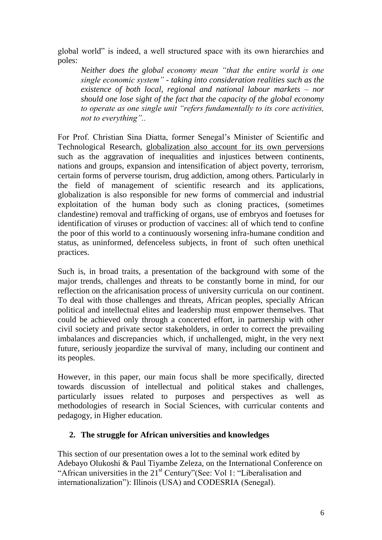global world" is indeed, a well structured space with its own hierarchies and poles:

*Neither does the global economy mean "that the entire world is one single economic system" - taking into consideration realities such as the existence of both local, regional and national labour markets – nor should one lose sight of the fact that the capacity of the global economy to operate as one single unit "refers fundamentally to its core activities, not to everything"..* 

For Prof. Christian Sina Diatta, former Senegal's Minister of Scientific and Technological Research, globalization also account for its own perversions such as the aggravation of inequalities and injustices between continents, nations and groups, expansion and intensification of abject poverty, terrorism, certain forms of perverse tourism, drug addiction, among others. Particularly in the field of management of scientific research and its applications, globalization is also responsible for new forms of commercial and industrial exploitation of the human body such as cloning practices, (sometimes clandestine) removal and trafficking of organs, use of embryos and foetuses for identification of viruses or production of vaccines: all of which tend to confine the poor of this world to a continuously worsening infra-humane condition and status, as uninformed, defenceless subjects, in front of such often unethical practices.

Such is, in broad traits, a presentation of the background with some of the major trends, challenges and threats to be constantly borne in mind, for our reflection on the africanisation process of university curricula on our continent. To deal with those challenges and threats, African peoples, specially African political and intellectual elites and leadership must empower themselves. That could be achieved only through a concerted effort, in partnership with other civil society and private sector stakeholders, in order to correct the prevailing imbalances and discrepancies which, if unchallenged, might, in the very next future, seriously jeopardize the survival of many, including our continent and its peoples.

However, in this paper, our main focus shall be more specifically, directed towards discussion of intellectual and political stakes and challenges, particularly issues related to purposes and perspectives as well as methodologies of research in Social Sciences, with curricular contents and pedagogy, in Higher education.

# **2. The struggle for African universities and knowledges**

This section of our presentation owes a lot to the seminal work edited by Adebayo Olukoshi & Paul Tiyambe Zeleza, on the International Conference on "African universities in the 21<sup>st</sup> Century"(See: Vol 1: "Liberalisation and internationalization"): Illinois (USA) and CODESRIA (Senegal).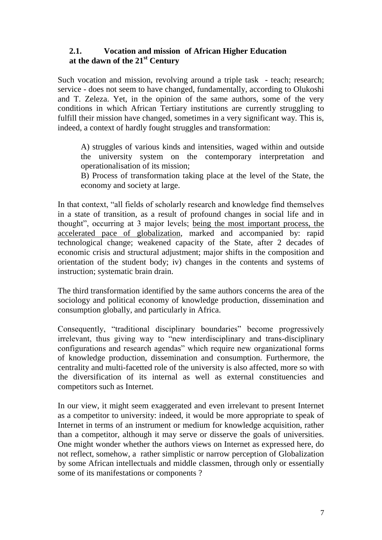## **2.1. Vocation and mission of African Higher Education at the dawn of the 21st Century**

Such vocation and mission, revolving around a triple task - teach; research; service - does not seem to have changed, fundamentally, according to Olukoshi and T. Zeleza. Yet, in the opinion of the same authors, some of the very conditions in which African Tertiary institutions are currently struggling to fulfill their mission have changed, sometimes in a very significant way. This is, indeed, a context of hardly fought struggles and transformation:

A) struggles of various kinds and intensities, waged within and outside the university system on the contemporary interpretation and operationalisation of its mission;

B) Process of transformation taking place at the level of the State, the economy and society at large.

In that context, "all fields of scholarly research and knowledge find themselves in a state of transition, as a result of profound changes in social life and in thought", occurring at 3 major levels; being the most important process, the accelerated pace of globalization, marked and accompanied by: rapid technological change; weakened capacity of the State, after 2 decades of economic crisis and structural adjustment; major shifts in the composition and orientation of the student body; iv) changes in the contents and systems of instruction; systematic brain drain.

The third transformation identified by the same authors concerns the area of the sociology and political economy of knowledge production, dissemination and consumption globally, and particularly in Africa.

Consequently, "traditional disciplinary boundaries" become progressively irrelevant, thus giving way to "new interdisciplinary and trans-disciplinary configurations and research agendas" which require new organizational forms of knowledge production, dissemination and consumption. Furthermore, the centrality and multi-facetted role of the university is also affected, more so with the diversification of its internal as well as external constituencies and competitors such as Internet.

In our view, it might seem exaggerated and even irrelevant to present Internet as a competitor to university: indeed, it would be more appropriate to speak of Internet in terms of an instrument or medium for knowledge acquisition, rather than a competitor, although it may serve or disserve the goals of universities. One might wonder whether the authors views on Internet as expressed here, do not reflect, somehow, a rather simplistic or narrow perception of Globalization by some African intellectuals and middle classmen, through only or essentially some of its manifestations or components ?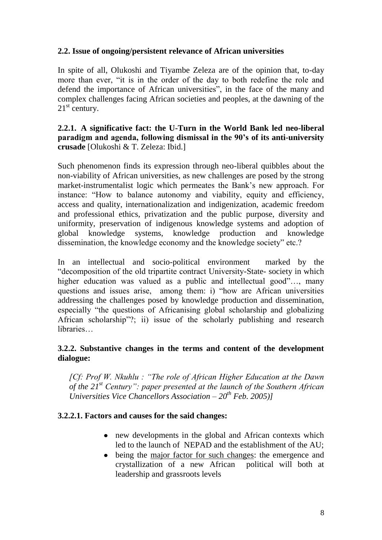#### **2.2. Issue of ongoing/persistent relevance of African universities**

In spite of all, Olukoshi and Tiyambe Zeleza are of the opinion that, to-day more than ever, "it is in the order of the day to both redefine the role and defend the importance of African universities", in the face of the many and complex challenges facing African societies and peoples, at the dawning of the  $21<sup>st</sup>$  century.

#### **2.2.1. A significative fact: the U-Turn in the World Bank led neo-liberal paradigm and agenda, following dismissal in the 90's of its anti-university crusade** [Olukoshi & T. Zeleza: Ibid.]

Such phenomenon finds its expression through neo-liberal quibbles about the non-viability of African universities, as new challenges are posed by the strong market-instrumentalist logic which permeates the Bank's new approach. For instance: "How to balance autonomy and viability, equity and efficiency, access and quality, internationalization and indigenization, academic freedom and professional ethics, privatization and the public purpose, diversity and uniformity, preservation of indigenous knowledge systems and adoption of global knowledge systems, knowledge production and knowledge dissemination, the knowledge economy and the knowledge society" etc.?

In an intellectual and socio-political environment marked by the "decomposition of the old tripartite contract University-State- society in which higher education was valued as a public and intellectual good"..., many questions and issues arise, among them: i) "how are African universities addressing the challenges posed by knowledge production and dissemination, especially "the questions of Africanising global scholarship and globalizing African scholarship"?; ii) issue of the scholarly publishing and research libraries…

## **3.2.2. Substantive changes in the terms and content of the development dialogue:**

*[Cf: Prof W. Nkuhlu : "The role of African Higher Education at the Dawn of the 21st Century": paper presented at the launch of the Southern African Universities Vice Chancellors Association – 20th Feb. 2005)]*

#### **3.2.2.1. Factors and causes for the said changes:**

- new developments in the global and African contexts which led to the launch of NEPAD and the establishment of the AU;
- being the major factor for such changes: the emergence and crystallization of a new African political will both at leadership and grassroots levels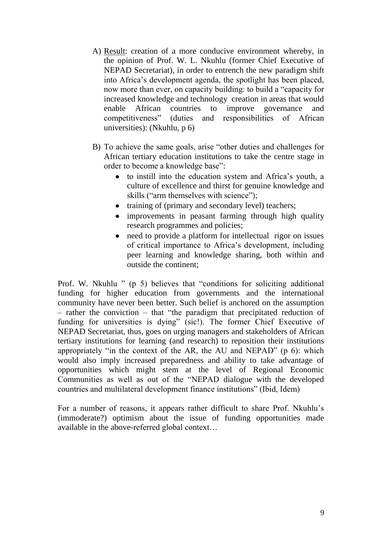- A) Result: creation of a more conducive environment whereby, in the opinion of Prof. W. L. Nkuhlu (former Chief Executive of NEPAD Secretariat), in order to entrench the new paradigm shift into Africa's development agenda, the spotlight has been placed, now more than ever, on capacity building: to build a "capacity for increased knowledge and technology creation in areas that would enable African countries to improve governance and competitiveness" (duties and responsibilities of African universities): (Nkuhlu, p 6)
- B) To achieve the same goals, arise "other duties and challenges for African tertiary education institutions to take the centre stage in order to become a knowledge base":
	- to instill into the education system and Africa's youth, a culture of excellence and thirst for genuine knowledge and skills ("arm themselves with science");
	- training of (primary and secondary level) teachers;
	- improvements in peasant farming through high quality research programmes and policies;
	- need to provide a platform for intellectual rigor on issues of critical importance to Africa's development, including peer learning and knowledge sharing, both within and outside the continent;

Prof. W. Nkuhlu " (p 5) believes that "conditions for soliciting additional funding for higher education from governments and the international community have never been better. Such belief is anchored on the assumption – rather the conviction – that "the paradigm that precipitated reduction of funding for universities is dying" (sic!). The former Chief Executive of NEPAD Secretariat, thus, goes on urging managers and stakeholders of African tertiary institutions for learning (and research) to reposition their institutions appropriately "in the context of the AR, the AU and NEPAD" (p 6): which would also imply increased preparedness and ability to take advantage of opportunities which might stem at the level of Regional Economic Communities as well as out of the "NEPAD dialogue with the developed countries and multilateral development finance institutions" (Ibid, Idem)

For a number of reasons, it appears rather difficult to share Prof. Nkuhlu's (immoderate?) optimism about the issue of funding opportunities made available in the above-referred global context…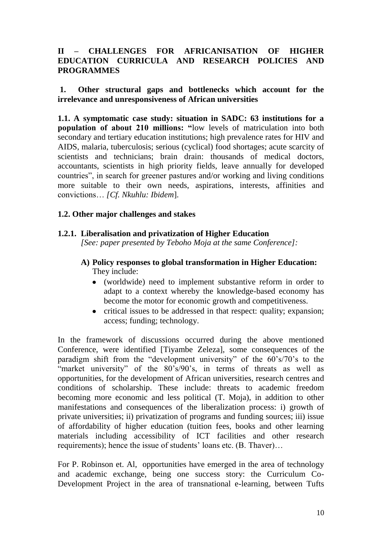## **II – CHALLENGES FOR AFRICANISATION OF HIGHER EDUCATION CURRICULA AND RESEARCH POLICIES AND PROGRAMMES**

#### **1. Other structural gaps and bottlenecks which account for the irrelevance and unresponsiveness of African universities**

**1.1. A symptomatic case study: situation in SADC: 63 institutions for a population of about 210 millions: "**low levels of matriculation into both secondary and tertiary education institutions; high prevalence rates for HIV and AIDS, malaria, tuberculosis; serious (cyclical) food shortages; acute scarcity of scientists and technicians; brain drain: thousands of medical doctors, accountants, scientists in high priority fields, leave annually for developed countries", in search for greener pastures and/or working and living conditions more suitable to their own needs, aspirations, interests, affinities and convictions… *[Cf. Nkuhlu: Ibidem*].

## **1.2. Other major challenges and stakes**

# **1.2.1. Liberalisation and privatization of Higher Education**

*[See: paper presented by Teboho Moja at the same Conference]:*

- **A) Policy responses to global transformation in Higher Education:**  They include:
	- (worldwide) need to implement substantive reform in order to adapt to a context whereby the knowledge-based economy has become the motor for economic growth and competitiveness.
	- critical issues to be addressed in that respect: quality; expansion; access; funding; technology.

In the framework of discussions occurred during the above mentioned Conference, were identified [Tiyambe Zeleza], some consequences of the paradigm shift from the "development university" of the 60's/70's to the "market university" of the 80's/90's, in terms of threats as well as opportunities, for the development of African universities, research centres and conditions of scholarship. These include: threats to academic freedom becoming more economic and less political (T. Moja), in addition to other manifestations and consequences of the liberalization process: i) growth of private universities; ii) privatization of programs and funding sources; iii) issue of affordability of higher education (tuition fees, books and other learning materials including accessibility of ICT facilities and other research requirements); hence the issue of students' loans etc. (B. Thaver)…

For P. Robinson et. Al, opportunities have emerged in the area of technology and academic exchange, being one success story: the Curriculum Co-Development Project in the area of transnational e-learning, between Tufts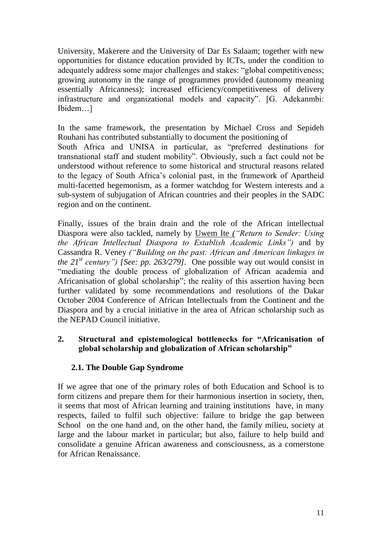University, Makerere and the University of Dar Es Salaam; together with new opportunities for distance education provided by ICTs, under the condition to adequately address some major challenges and stakes: "global competitiveness; growing autonomy in the range of programmes provided (autonomy meaning essentially Africanness); increased efficiency/competitiveness of delivery infrastructure and organizational models and capacity". [G. Adekanmbi: Ibidem…]

In the same framework, the presentation by Michael Cross and Sepideh Rouhani has contributed substantially to document the positioning of South Africa and UNISA in particular, as "preferred destinations for transnational staff and student mobility". Obviously, such a fact could not be understood without reference to some historical and structural reasons related to the legacy of South Africa's colonial past, in the framework of Apartheid multi-facetted hegemonism, as a former watchdog for Western interests and a sub-system of subjugation of African countries and their peoples in the SADC region and on the continent.

Finally, issues of the brain drain and the role of the African intellectual Diaspora were also tackled, namely by Uwem Ite *("Return to Sender: Using the African Intellectual Diaspora to Establish Academic Links")* and by Cassandra R. Veney *("Building on the past: African and American linkages in the*  $21^{st}$  *century")* [See: pp. 263/279]. One possible way out would consist in "mediating the double process of globalization of African academia and Africanisation of global scholarship"; the reality of this assertion having been further validated by some recommendations and resolutions of the Dakar October 2004 Conference of African Intellectuals from the Continent and the Diaspora and by a crucial initiative in the area of African scholarship such as the NEPAD Council initiative.

## **2. Structural and epistemological bottlenecks for "Africanisation of global scholarship and globalization of African scholarship"**

# **2.1. The Double Gap Syndrome**

If we agree that one of the primary roles of both Education and School is to form citizens and prepare them for their harmonious insertion in society, then, it seems that most of African learning and training institutions have, in many respects, failed to fulfil such objective: failure to bridge the gap between School on the one hand and, on the other hand, the family milieu, society at large and the labour market in particular; but also, failure to help build and consolidate a genuine African awareness and consciousness, as a cornerstone for African Renaissance.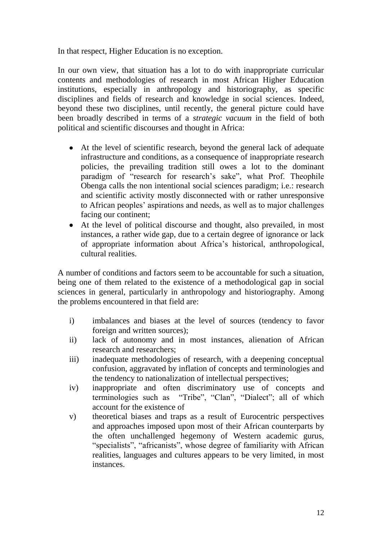In that respect, Higher Education is no exception.

In our own view, that situation has a lot to do with inappropriate curricular contents and methodologies of research in most African Higher Education institutions, especially in anthropology and historiography, as specific disciplines and fields of research and knowledge in social sciences. Indeed, beyond these two disciplines, until recently, the general picture could have been broadly described in terms of a *strategic vacuum* in the field of both political and scientific discourses and thought in Africa:

- At the level of scientific research, beyond the general lack of adequate infrastructure and conditions, as a consequence of inappropriate research policies, the prevailing tradition still owes a lot to the dominant paradigm of "research for research's sake", what Prof. Theophile Obenga calls the non intentional social sciences paradigm; i.e.: research and scientific activity mostly disconnected with or rather unresponsive to African peoples' aspirations and needs, as well as to major challenges facing our continent;
- At the level of political discourse and thought, also prevailed, in most instances, a rather wide gap, due to a certain degree of ignorance or lack of appropriate information about Africa's historical, anthropological, cultural realities.

A number of conditions and factors seem to be accountable for such a situation, being one of them related to the existence of a methodological gap in social sciences in general, particularly in anthropology and historiography. Among the problems encountered in that field are:

- i) imbalances and biases at the level of sources (tendency to favor foreign and written sources);
- ii) lack of autonomy and in most instances, alienation of African research and researchers;
- iii) inadequate methodologies of research, with a deepening conceptual confusion, aggravated by inflation of concepts and terminologies and the tendency to nationalization of intellectual perspectives;
- iv) inappropriate and often discriminatory use of concepts and terminologies such as "Tribe", "Clan", "Dialect"; all of which account for the existence of
- v) theoretical biases and traps as a result of Eurocentric perspectives and approaches imposed upon most of their African counterparts by the often unchallenged hegemony of Western academic gurus, "specialists", "africanists", whose degree of familiarity with African realities, languages and cultures appears to be very limited, in most instances.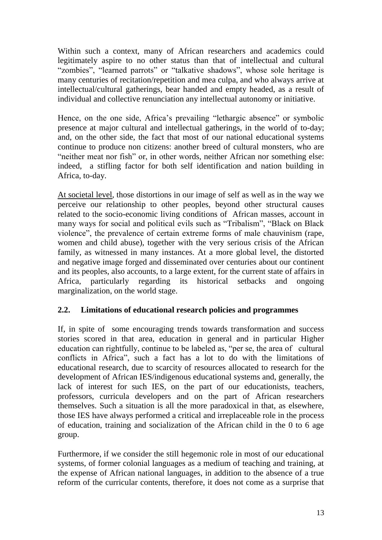Within such a context, many of African researchers and academics could legitimately aspire to no other status than that of intellectual and cultural "zombies", "learned parrots" or "talkative shadows", whose sole heritage is many centuries of recitation/repetition and mea culpa, and who always arrive at intellectual/cultural gatherings, bear handed and empty headed, as a result of individual and collective renunciation any intellectual autonomy or initiative.

Hence, on the one side, Africa's prevailing "lethargic absence" or symbolic presence at major cultural and intellectual gatherings, in the world of to-day; and, on the other side, the fact that most of our national educational systems continue to produce non citizens: another breed of cultural monsters, who are "neither meat nor fish" or, in other words, neither African nor something else: indeed, a stifling factor for both self identification and nation building in Africa, to-day.

At societal level, those distortions in our image of self as well as in the way we perceive our relationship to other peoples, beyond other structural causes related to the socio-economic living conditions of African masses, account in many ways for social and political evils such as "Tribalism", "Black on Black violence", the prevalence of certain extreme forms of male chauvinism (rape, women and child abuse), together with the very serious crisis of the African family, as witnessed in many instances. At a more global level, the distorted and negative image forged and disseminated over centuries about our continent and its peoples, also accounts, to a large extent, for the current state of affairs in Africa, particularly regarding its historical setbacks and ongoing marginalization, on the world stage.

# **2.2. Limitations of educational research policies and programmes**

If, in spite of some encouraging trends towards transformation and success stories scored in that area, education in general and in particular Higher education can rightfully, continue to be labeled as, "per se, the area of cultural conflicts in Africa", such a fact has a lot to do with the limitations of educational research, due to scarcity of resources allocated to research for the development of African IES/indigenous educational systems and, generally, the lack of interest for such IES, on the part of our educationists, teachers, professors, curricula developers and on the part of African researchers themselves. Such a situation is all the more paradoxical in that, as elsewhere, those IES have always performed a critical and irreplaceable role in the process of education, training and socialization of the African child in the 0 to 6 age group.

Furthermore, if we consider the still hegemonic role in most of our educational systems, of former colonial languages as a medium of teaching and training, at the expense of African national languages, in addition to the absence of a true reform of the curricular contents, therefore, it does not come as a surprise that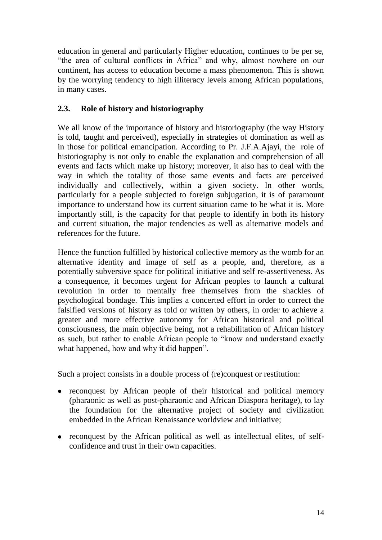education in general and particularly Higher education, continues to be per se, "the area of cultural conflicts in Africa" and why, almost nowhere on our continent, has access to education become a mass phenomenon. This is shown by the worrying tendency to high illiteracy levels among African populations, in many cases.

# **2.3. Role of history and historiography**

We all know of the importance of history and historiography (the way History is told, taught and perceived), especially in strategies of domination as well as in those for political emancipation. According to Pr. J.F.A.Ajayi, the role of historiography is not only to enable the explanation and comprehension of all events and facts which make up history; moreover, it also has to deal with the way in which the totality of those same events and facts are perceived individually and collectively, within a given society. In other words, particularly for a people subjected to foreign subjugation, it is of paramount importance to understand how its current situation came to be what it is. More importantly still, is the capacity for that people to identify in both its history and current situation, the major tendencies as well as alternative models and references for the future.

Hence the function fulfilled by historical collective memory as the womb for an alternative identity and image of self as a people, and, therefore, as a potentially subversive space for political initiative and self re-assertiveness. As a consequence, it becomes urgent for African peoples to launch a cultural revolution in order to mentally free themselves from the shackles of psychological bondage. This implies a concerted effort in order to correct the falsified versions of history as told or written by others, in order to achieve a greater and more effective autonomy for African historical and political consciousness, the main objective being, not a rehabilitation of African history as such, but rather to enable African people to "know and understand exactly what happened, how and why it did happen".

Such a project consists in a double process of (re)conquest or restitution:

- reconquest by African people of their historical and political memory (pharaonic as well as post-pharaonic and African Diaspora heritage), to lay the foundation for the alternative project of society and civilization embedded in the African Renaissance worldview and initiative;
- reconquest by the African political as well as intellectual elites, of selfconfidence and trust in their own capacities.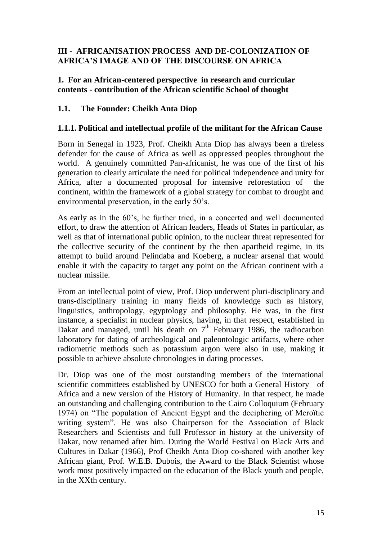## **III - AFRICANISATION PROCESS AND DE-COLONIZATION OF AFRICA'S IMAGE AND OF THE DISCOURSE ON AFRICA**

#### **1. For an African-centered perspective in research and curricular contents - contribution of the African scientific School of thought**

## **1.1. The Founder: Cheikh Anta Diop**

#### **1.1.1. Political and intellectual profile of the militant for the African Cause**

Born in Senegal in 1923, Prof. Cheikh Anta Diop has always been a tireless defender for the cause of Africa as well as oppressed peoples throughout the world. A genuinely committed Pan-africanist, he was one of the first of his generation to clearly articulate the need for political independence and unity for Africa, after a documented proposal for intensive reforestation of the continent, within the framework of a global strategy for combat to drought and environmental preservation, in the early 50's.

As early as in the 60's, he further tried, in a concerted and well documented effort, to draw the attention of African leaders, Heads of States in particular, as well as that of international public opinion, to the nuclear threat represented for the collective security of the continent by the then apartheid regime, in its attempt to build around Pelindaba and Koeberg, a nuclear arsenal that would enable it with the capacity to target any point on the African continent with a nuclear missile.

From an intellectual point of view, Prof. Diop underwent pluri-disciplinary and trans-disciplinary training in many fields of knowledge such as history, linguistics, anthropology, egyptology and philosophy. He was, in the first instance, a specialist in nuclear physics, having, in that respect, established in Dakar and managed, until his death on  $7<sup>th</sup>$  February 1986, the radiocarbon laboratory for dating of archeological and paleontologic artifacts, where other radiometric methods such as potassium argon were also in use, making it possible to achieve absolute chronologies in dating processes.

Dr. Diop was one of the most outstanding members of the international scientific committees established by UNESCO for both a General History of Africa and a new version of the History of Humanity. In that respect, he made an outstanding and challenging contribution to the Cairo Colloquium (February 1974) on "The population of Ancient Egypt and the deciphering of Meroïtic writing system". He was also Chairperson for the Association of Black Researchers and Scientists and full Professor in history at the university of Dakar, now renamed after him. During the World Festival on Black Arts and Cultures in Dakar (1966), Prof Cheikh Anta Diop co-shared with another key African giant, Prof. W.E.B. Dubois, the Award to the Black Scientist whose work most positively impacted on the education of the Black youth and people, in the XXth century.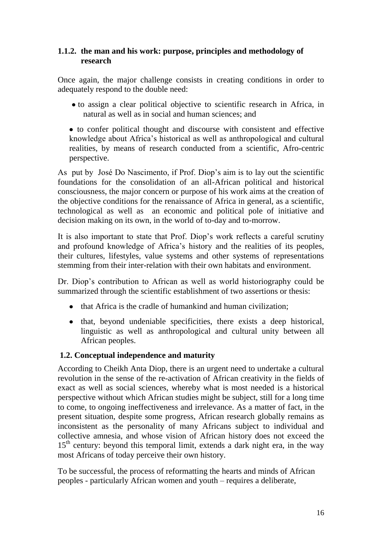#### **1.1.2. the man and his work: purpose, principles and methodology of research**

Once again, the major challenge consists in creating conditions in order to adequately respond to the double need:

to assign a clear political objective to scientific research in Africa, in natural as well as in social and human sciences; and

to confer political thought and discourse with consistent and effective knowledge about Africa's historical as well as anthropological and cultural realities, by means of research conducted from a scientific, Afro-centric perspective.

As put by José Do Nascimento, if Prof. Diop's aim is to lay out the scientific foundations for the consolidation of an all-African political and historical consciousness, the major concern or purpose of his work aims at the creation of the objective conditions for the renaissance of Africa in general, as a scientific, technological as well as an economic and political pole of initiative and decision making on its own, in the world of to-day and to-morrow.

It is also important to state that Prof. Diop's work reflects a careful scrutiny and profound knowledge of Africa's history and the realities of its peoples, their cultures, lifestyles, value systems and other systems of representations stemming from their inter-relation with their own habitats and environment.

Dr. Diop's contribution to African as well as world historiography could be summarized through the scientific establishment of two assertions or thesis:

- that Africa is the cradle of humankind and human civilization;
- that, beyond undeniable specificities, there exists a deep historical, linguistic as well as anthropological and cultural unity between all African peoples.

# **1.2. Conceptual independence and maturity**

According to Cheikh Anta Diop, there is an urgent need to undertake a cultural revolution in the sense of the re-activation of African creativity in the fields of exact as well as social sciences, whereby what is most needed is a historical perspective without which African studies might be subject, still for a long time to come, to ongoing ineffectiveness and irrelevance. As a matter of fact, in the present situation, despite some progress, African research globally remains as inconsistent as the personality of many Africans subject to individual and collective amnesia, and whose vision of African history does not exceed the  $15<sup>th</sup>$  century: beyond this temporal limit, extends a dark night era, in the way most Africans of today perceive their own history.

To be successful, the process of reformatting the hearts and minds of African peoples - particularly African women and youth – requires a deliberate,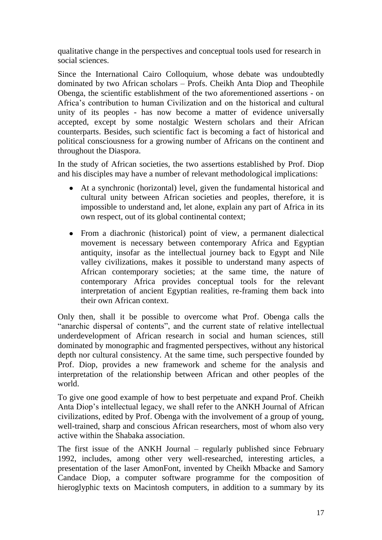qualitative change in the perspectives and conceptual tools used for research in social sciences.

Since the International Cairo Colloquium, whose debate was undoubtedly dominated by two African scholars – Profs. Cheikh Anta Diop and Theophile Obenga, the scientific establishment of the two aforementioned assertions - on Africa's contribution to human Civilization and on the historical and cultural unity of its peoples - has now become a matter of evidence universally accepted, except by some nostalgic Western scholars and their African counterparts. Besides, such scientific fact is becoming a fact of historical and political consciousness for a growing number of Africans on the continent and throughout the Diaspora.

In the study of African societies, the two assertions established by Prof. Diop and his disciples may have a number of relevant methodological implications:

- At a synchronic (horizontal) level, given the fundamental historical and cultural unity between African societies and peoples, therefore, it is impossible to understand and, let alone, explain any part of Africa in its own respect, out of its global continental context;
- From a diachronic (historical) point of view, a permanent dialectical movement is necessary between contemporary Africa and Egyptian antiquity, insofar as the intellectual journey back to Egypt and Nile valley civilizations, makes it possible to understand many aspects of African contemporary societies; at the same time, the nature of contemporary Africa provides conceptual tools for the relevant interpretation of ancient Egyptian realities, re-framing them back into their own African context.

Only then, shall it be possible to overcome what Prof. Obenga calls the "anarchic dispersal of contents", and the current state of relative intellectual underdevelopment of African research in social and human sciences, still dominated by monographic and fragmented perspectives, without any historical depth nor cultural consistency. At the same time, such perspective founded by Prof. Diop, provides a new framework and scheme for the analysis and interpretation of the relationship between African and other peoples of the world.

To give one good example of how to best perpetuate and expand Prof. Cheikh Anta Diop's intellectual legacy, we shall refer to the ANKH Journal of African civilizations, edited by Prof. Obenga with the involvement of a group of young, well-trained, sharp and conscious African researchers, most of whom also very active within the Shabaka association.

The first issue of the ANKH Journal – regularly published since February 1992, includes, among other very well-researched, interesting articles, a presentation of the laser AmonFont, invented by Cheikh Mbacke and Samory Candace Diop, a computer software programme for the composition of hieroglyphic texts on Macintosh computers, in addition to a summary by its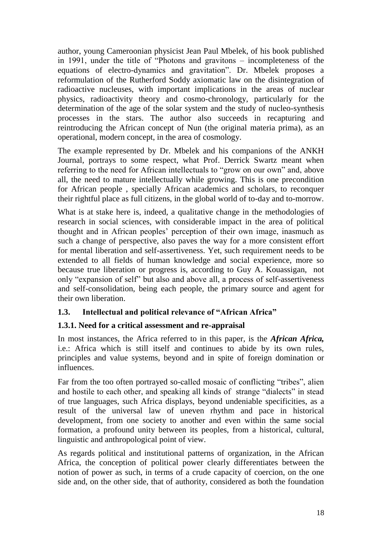author, young Cameroonian physicist Jean Paul Mbelek, of his book published in 1991, under the title of "Photons and gravitons – incompleteness of the equations of electro-dynamics and gravitation". Dr. Mbelek proposes a reformulation of the Rutherford Soddy axiomatic law on the disintegration of radioactive nucleuses, with important implications in the areas of nuclear physics, radioactivity theory and cosmo-chronology, particularly for the determination of the age of the solar system and the study of nucleo-synthesis processes in the stars. The author also succeeds in recapturing and reintroducing the African concept of Nun (the original materia prima), as an operational, modern concept, in the area of cosmology.

The example represented by Dr. Mbelek and his companions of the ANKH Journal, portrays to some respect, what Prof. Derrick Swartz meant when referring to the need for African intellectuals to "grow on our own" and, above all, the need to mature intellectually while growing. This is one precondition for African people , specially African academics and scholars, to reconquer their rightful place as full citizens, in the global world of to-day and to-morrow.

What is at stake here is, indeed, a qualitative change in the methodologies of research in social sciences, with considerable impact in the area of political thought and in African peoples' perception of their own image, inasmuch as such a change of perspective, also paves the way for a more consistent effort for mental liberation and self-assertiveness. Yet, such requirement needs to be extended to all fields of human knowledge and social experience, more so because true liberation or progress is, according to Guy A. Kouassigan, not only "expansion of self" but also and above all, a process of self-assertiveness and self-consolidation, being each people, the primary source and agent for their own liberation.

# **1.3. Intellectual and political relevance of "African Africa"**

# **1.3.1. Need for a critical assessment and re-appraisal**

In most instances, the Africa referred to in this paper, is the *African Africa,* i.e.: Africa which is still itself and continues to abide by its own rules, principles and value systems, beyond and in spite of foreign domination or influences.

Far from the too often portrayed so-called mosaic of conflicting "tribes", alien and hostile to each other, and speaking all kinds of strange "dialects" in stead of true languages, such Africa displays, beyond undeniable specificities, as a result of the universal law of uneven rhythm and pace in historical development, from one society to another and even within the same social formation, a profound unity between its peoples, from a historical, cultural, linguistic and anthropological point of view.

As regards political and institutional patterns of organization, in the African Africa, the conception of political power clearly differentiates between the notion of power as such, in terms of a crude capacity of coercion, on the one side and, on the other side, that of authority, considered as both the foundation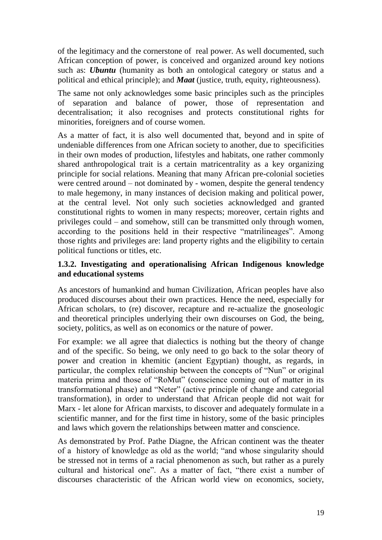of the legitimacy and the cornerstone of real power. As well documented, such African conception of power, is conceived and organized around key notions such as: *Ubuntu* (humanity as both an ontological category or status and a political and ethical principle); and *Maat* (justice, truth, equity, righteousness).

The same not only acknowledges some basic principles such as the principles of separation and balance of power, those of representation and decentralisation; it also recognises and protects constitutional rights for minorities, foreigners and of course women.

As a matter of fact, it is also well documented that, beyond and in spite of undeniable differences from one African society to another, due to specificities in their own modes of production, lifestyles and habitats, one rather commonly shared anthropological trait is a certain matricentrality as a key organizing principle for social relations. Meaning that many African pre-colonial societies were centred around – not dominated by - women, despite the general tendency to male hegemony, in many instances of decision making and political power, at the central level. Not only such societies acknowledged and granted constitutional rights to women in many respects; moreover, certain rights and privileges could – and somehow, still can be transmitted only through women, according to the positions held in their respective "matrilineages". Among those rights and privileges are: land property rights and the eligibility to certain political functions or titles, etc.

## **1.3.2. Investigating and operationalising African Indigenous knowledge and educational systems**

As ancestors of humankind and human Civilization, African peoples have also produced discourses about their own practices. Hence the need, especially for African scholars, to (re) discover, recapture and re-actualize the gnoseologic and theoretical principles underlying their own discourses on God, the being, society, politics, as well as on economics or the nature of power.

For example: we all agree that dialectics is nothing but the theory of change and of the specific. So being, we only need to go back to the solar theory of power and creation in khemitic (ancient Egyptian) thought, as regards, in particular, the complex relationship between the concepts of "Nun" or original materia prima and those of "RoMut" (conscience coming out of matter in its transformational phase) and "Neter" (active principle of change and categorial transformation), in order to understand that African people did not wait for Marx - let alone for African marxists, to discover and adequately formulate in a scientific manner, and for the first time in history, some of the basic principles and laws which govern the relationships between matter and conscience.

As demonstrated by Prof. Pathe Diagne, the African continent was the theater of a history of knowledge as old as the world; "and whose singularity should be stressed not in terms of a racial phenomenon as such, but rather as a purely cultural and historical one". As a matter of fact, "there exist a number of discourses characteristic of the African world view on economics, society,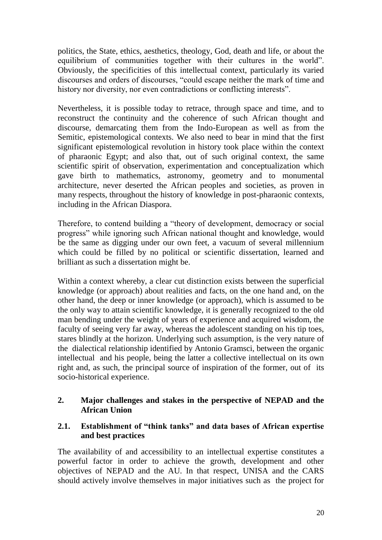politics, the State, ethics, aesthetics, theology, God, death and life, or about the equilibrium of communities together with their cultures in the world". Obviously, the specificities of this intellectual context, particularly its varied discourses and orders of discourses, "could escape neither the mark of time and history nor diversity, nor even contradictions or conflicting interests".

Nevertheless, it is possible today to retrace, through space and time, and to reconstruct the continuity and the coherence of such African thought and discourse, demarcating them from the Indo-European as well as from the Semitic, epistemological contexts. We also need to bear in mind that the first significant epistemological revolution in history took place within the context of pharaonic Egypt; and also that, out of such original context, the same scientific spirit of observation, experimentation and conceptualization which gave birth to mathematics, astronomy, geometry and to monumental architecture, never deserted the African peoples and societies, as proven in many respects, throughout the history of knowledge in post-pharaonic contexts, including in the African Diaspora.

Therefore, to contend building a "theory of development, democracy or social progress" while ignoring such African national thought and knowledge, would be the same as digging under our own feet, a vacuum of several millennium which could be filled by no political or scientific dissertation, learned and brilliant as such a dissertation might be.

Within a context whereby, a clear cut distinction exists between the superficial knowledge (or approach) about realities and facts, on the one hand and, on the other hand, the deep or inner knowledge (or approach), which is assumed to be the only way to attain scientific knowledge, it is generally recognized to the old man bending under the weight of years of experience and acquired wisdom, the faculty of seeing very far away, whereas the adolescent standing on his tip toes, stares blindly at the horizon. Underlying such assumption, is the very nature of the dialectical relationship identified by Antonio Gramsci, between the organic intellectual and his people, being the latter a collective intellectual on its own right and, as such, the principal source of inspiration of the former, out of its socio-historical experience.

## **2. Major challenges and stakes in the perspective of NEPAD and the African Union**

## **2.1. Establishment of "think tanks" and data bases of African expertise and best practices**

The availability of and accessibility to an intellectual expertise constitutes a powerful factor in order to achieve the growth, development and other objectives of NEPAD and the AU. In that respect, UNISA and the CARS should actively involve themselves in major initiatives such as the project for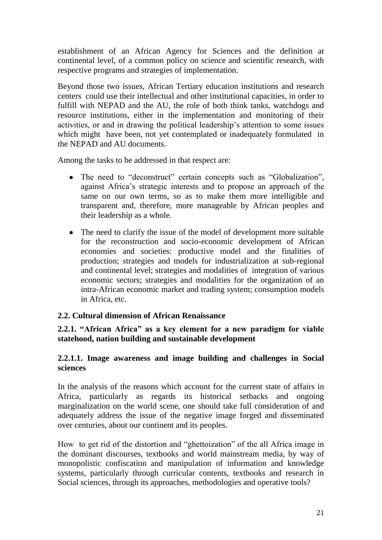establishment of an African Agency for Sciences and the definition at continental level, of a common policy on science and scientific research, with respective programs and strategies of implementation.

Beyond those two issues, African Tertiary education institutions and research centers could use their intellectual and other institutional capacities, in order to fulfill with NEPAD and the AU, the role of both think tanks, watchdogs and resource institutions, either in the implementation and monitoring of their activities, or and in drawing the political leadership's attention to some issues which might have been, not yet contemplated or inadequately formulated in the NEPAD and AU documents.

Among the tasks to be addressed in that respect are:

- The need to "deconstruct" certain concepts such as "Globalization", against Africa's strategic interests and to propose an approach of the same on our own terms, so as to make them more intelligible and transparent and, therefore, more manageable by African peoples and their leadership as a whole.
- The need to clarify the issue of the model of development more suitable for the reconstruction and socio-economic development of African economies and societies: productive model and the finalities of production; strategies and models for industrialization at sub-regional and continental level; strategies and modalities of integration of various economic sectors; strategies and modalities for the organization of an intra-African economic market and trading system; consumption models in Africa, etc.

#### **2.2. Cultural dimension of African Renaissance**

**2.2.1. "African Africa" as a key element for a new paradigm for viable statehood, nation building and sustainable development** 

#### **2.2.1.1. Image awareness and image building and challenges in Social sciences**

In the analysis of the reasons which account for the current state of affairs in Africa, particularly as regards its historical setbacks and ongoing marginalization on the world scene, one should take full consideration of and adequately address the issue of the negative image forged and disseminated over centuries, about our continent and its peoples.

How to get rid of the distortion and "ghettoization" of the all Africa image in the dominant discourses, textbooks and world mainstream media, by way of monopolistic confiscation and manipulation of information and knowledge systems, particularly through curricular contents, textbooks and research in Social sciences, through its approaches, methodologies and operative tools?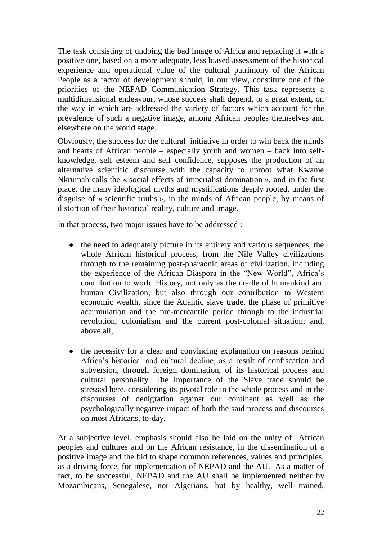The task consisting of undoing the bad image of Africa and replacing it with a positive one, based on a more adequate, less biased assessment of the historical experience and operational value of the cultural patrimony of the African People as a factor of development should, in our view, constitute one of the priorities of the NEPAD Communication Strategy. This task represents a multidimensional endeavour, whose success shall depend, to a great extent, on the way in which are addressed the variety of factors which account for the prevalence of such a negative image, among African peoples themselves and elsewhere on the world stage.

Obviously, the success for the cultural initiative in order to win back the minds and hearts of African people – especially youth and women – back into selfknowledge, self esteem and self confidence, supposes the production of an alternative scientific discourse with the capacity to uproot what Kwame Nkrumah calls the « social effects of imperialist domination », and in the first place, the many ideological myths and mystifications deeply rooted, under the disguise of « scientific truths », in the minds of African people, by means of distortion of their historical reality, culture and image.

In that process, two major issues have to be addressed :

- the need to adequately picture in its entirety and various sequences, the whole African historical process, from the Nile Valley civilizations through to the remaining post-pharaonic areas of civilization, including the experience of the African Diaspora in the "New World", Africa's contribution to world History, not only as the cradle of humankind and human Civilization, but also through our contribution to Western economic wealth, since the Atlantic slave trade, the phase of primitive accumulation and the pre-mercantile period through to the industrial revolution, colonialism and the current post-colonial situation; and, above all,
- the necessity for a clear and convincing explanation on reasons behind  $\bullet$ Africa's historical and cultural decline, as a result of confiscation and subversion, through foreign domination, of its historical process and cultural personality. The importance of the Slave trade should be stressed here, considering its pivotal role in the whole process and in the discourses of denigration against our continent as well as the psychologically negative impact of both the said process and discourses on most Africans, to-day.

At a subjective level, emphasis should also be laid on the unity of African peoples and cultures and on the African resistance, in the dissemination of a positive image and the bid to shape common references, values and principles, as a driving force, for implementation of NEPAD and the AU. As a matter of fact, to be successful, NEPAD and the AU shall be implemented neither by Mozambicans, Senegalese, nor Algerians, but by healthy, well trained,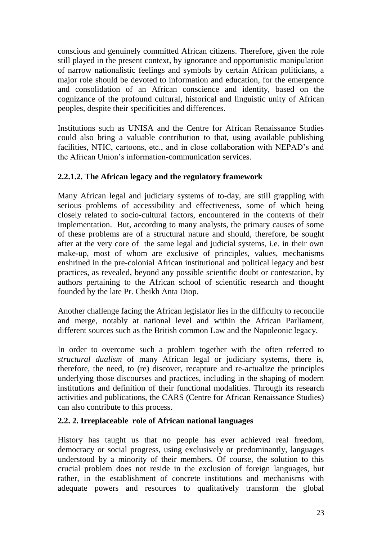conscious and genuinely committed African citizens. Therefore, given the role still played in the present context, by ignorance and opportunistic manipulation of narrow nationalistic feelings and symbols by certain African politicians, a major role should be devoted to information and education, for the emergence and consolidation of an African conscience and identity, based on the cognizance of the profound cultural, historical and linguistic unity of African peoples, despite their specificities and differences.

Institutions such as UNISA and the Centre for African Renaissance Studies could also bring a valuable contribution to that, using available publishing facilities, NTIC, cartoons, etc., and in close collaboration with NEPAD's and the African Union's information-communication services.

## **2.2.1.2. The African legacy and the regulatory framework**

Many African legal and judiciary systems of to-day, are still grappling with serious problems of accessibility and effectiveness, some of which being closely related to socio-cultural factors, encountered in the contexts of their implementation. But, according to many analysts, the primary causes of some of these problems are of a structural nature and should, therefore, be sought after at the very core of the same legal and judicial systems, i.e. in their own make-up, most of whom are exclusive of principles, values, mechanisms enshrined in the pre-colonial African institutional and political legacy and best practices, as revealed, beyond any possible scientific doubt or contestation, by authors pertaining to the African school of scientific research and thought founded by the late Pr. Cheikh Anta Diop.

Another challenge facing the African legislator lies in the difficulty to reconcile and merge, notably at national level and within the African Parliament, different sources such as the British common Law and the Napoleonic legacy.

In order to overcome such a problem together with the often referred to *structural dualism* of many African legal or judiciary systems, there is, therefore, the need, to (re) discover, recapture and re-actualize the principles underlying those discourses and practices, including in the shaping of modern institutions and definition of their functional modalities. Through its research activities and publications, the CARS (Centre for African Renaissance Studies) can also contribute to this process.

#### **2.2. 2. Irreplaceable role of African national languages**

History has taught us that no people has ever achieved real freedom, democracy or social progress, using exclusively or predominantly, languages understood by a minority of their members. Of course, the solution to this crucial problem does not reside in the exclusion of foreign languages, but rather, in the establishment of concrete institutions and mechanisms with adequate powers and resources to qualitatively transform the global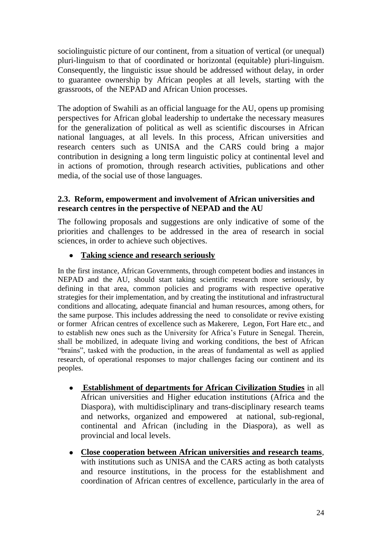sociolinguistic picture of our continent, from a situation of vertical (or unequal) pluri-linguism to that of coordinated or horizontal (equitable) pluri-linguism. Consequently, the linguistic issue should be addressed without delay, in order to guarantee ownership by African peoples at all levels, starting with the grassroots, of the NEPAD and African Union processes.

The adoption of Swahili as an official language for the AU, opens up promising perspectives for African global leadership to undertake the necessary measures for the generalization of political as well as scientific discourses in African national languages, at all levels. In this process, African universities and research centers such as UNISA and the CARS could bring a major contribution in designing a long term linguistic policy at continental level and in actions of promotion, through research activities, publications and other media, of the social use of those languages.

#### **2.3. Reform, empowerment and involvement of African universities and research centres in the perspective of NEPAD and the AU**

The following proposals and suggestions are only indicative of some of the priorities and challenges to be addressed in the area of research in social sciences, in order to achieve such objectives.

# **Taking science and research seriously**

In the first instance, African Governments, through competent bodies and instances in NEPAD and the AU, should start taking scientific research more seriously, by defining in that area, common policies and programs with respective operative strategies for their implementation, and by creating the institutional and infrastructural conditions and allocating, adequate financial and human resources, among others, for the same purpose. This includes addressing the need to consolidate or revive existing or former African centres of excellence such as Makerere, Legon, Fort Hare etc., and to establish new ones such as the University for Africa's Future in Senegal. Therein, shall be mobilized, in adequate living and working conditions, the best of African "brains", tasked with the production, in the areas of fundamental as well as applied research, of operational responses to major challenges facing our continent and its peoples.

- **Establishment of departments for African Civilization Studies** in all African universities and Higher education institutions (Africa and the Diaspora), with multidisciplinary and trans-disciplinary research teams and networks, organized and empowered at national, sub-regional, continental and African (including in the Diaspora), as well as provincial and local levels.
- **Close cooperation between African universities and research teams**, with institutions such as UNISA and the CARS acting as both catalysts and resource institutions, in the process for the establishment and coordination of African centres of excellence, particularly in the area of